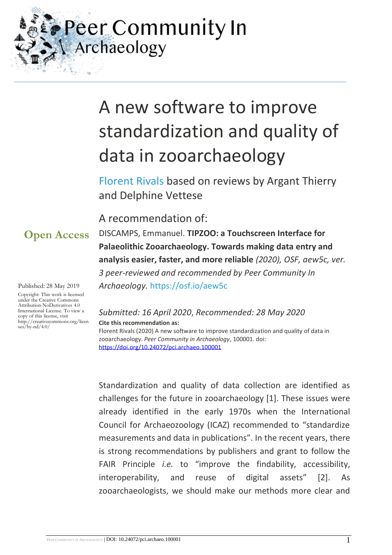Peer Community In Archaeology

# A new software to improve standardization and quality of data in zooarchaeology

[Florent Rivals](https://archaeo.peercommunityin.org/public/viewUserCard?userId=48) based on reviews by Argant Thierry and Delphine Vettese

A recommendation of:

**Open Access**

Published: 28 May 2019

Copyright: This work is licensed under the Creative Commons Attribution-NoDerivatives 4.0 International License. To view a copy of this license, visit http://creativecommons.org/licen ses/by-nd/4.0/

DISCAMPS, Emmanuel. **TIPZOO: a Touchscreen Interface for Palaeolithic Zooarchaeology. Towards making data entry and analysis easier, faster, and more reliable** *(2020), OSF, aew5c, ver. 3 peer-reviewed and recommended by Peer Community In Archaeology.* <https://osf.io/aew5c>

# *Submitted: 16 April 2020*, *Recommended: 28 May 2020*

**Cite this recommendation as:**

Florent Rivals (2020) A new software to improve standardization and quality of data in zooarchaeology. *Peer Community in Archaeology*, 100001. doi: <https://doi.org/10.24072/pci.archaeo.100001>

Standardization and quality of data collection are identified as challenges for the future in zooarchaeology [1]. These issues were already identified in the early 1970s when the International Council for Archaeozoology (ICAZ) recommended to "standardize measurements and data in publications". In the recent years, there is strong recommendations by publishers and grant to follow the FAIR Principle *i.e.* to "improve the findability, accessibility, interoperability, and reuse of digital assets" [2]. As zooarchaeologists, we should make our methods more clear and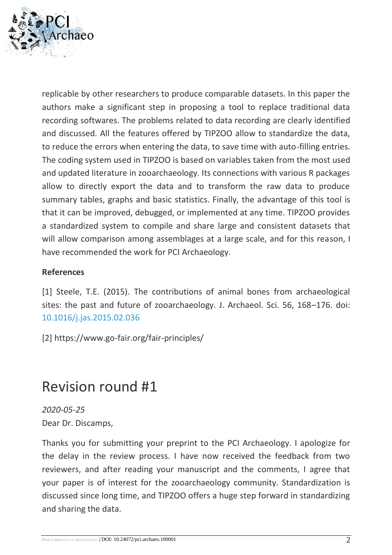

replicable by other researchers to produce comparable datasets. In this paper the authors make a significant step in proposing a tool to replace traditional data recording softwares. The problems related to data recording are clearly identified and discussed. All the features offered by TIPZOO allow to standardize the data, to reduce the errors when entering the data, to save time with auto-filling entries. The coding system used in TIPZOO is based on variables taken from the most used and updated literature in zooarchaeology. Its connections with various R packages allow to directly export the data and to transform the raw data to produce summary tables, graphs and basic statistics. Finally, the advantage of this tool is that it can be improved, debugged, or implemented at any time. TIPZOO provides a standardized system to compile and share large and consistent datasets that will allow comparison among assemblages at a large scale, and for this reason, I have recommended the work for PCI Archaeology.

#### **References**

[1] Steele, T.E. (2015). The contributions of animal bones from archaeological sites: the past and future of zooarchaeology. J. Archaeol. Sci. 56, 168–176. doi: [10.1016/j.jas.2015.02.036](https://dx.doi.org/10.1016/j.jas.2015.02.036)

[2] https://www.go-fair.org/fair-principles/

# Revision round #1

*2020-05-25* Dear Dr. Discamps,

Thanks you for submitting your preprint to the PCI Archaeology. I apologize for the delay in the review process. I have now received the feedback from two reviewers, and after reading your manuscript and the comments, I agree that your paper is of interest for the zooarchaeology community. Standardization is discussed since long time, and TIPZOO offers a huge step forward in standardizing and sharing the data.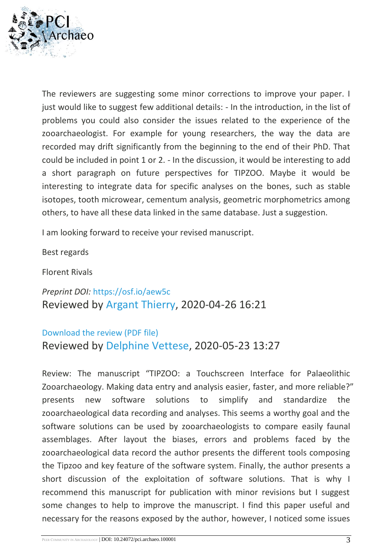

The reviewers are suggesting some minor corrections to improve your paper. I just would like to suggest few additional details: - In the introduction, in the list of problems you could also consider the issues related to the experience of the zooarchaeologist. For example for young researchers, the way the data are recorded may drift significantly from the beginning to the end of their PhD. That could be included in point 1 or 2. - In the discussion, it would be interesting to add a short paragraph on future perspectives for TIPZOO. Maybe it would be interesting to integrate data for specific analyses on the bones, such as stable isotopes, tooth microwear, cementum analysis, geometric morphometrics among others, to have all these data linked in the same database. Just a suggestion.

I am looking forward to receive your revised manuscript.

Best regards

Florent Rivals

*Preprint DOI:* <https://osf.io/aew5c> Reviewed by [Argant Thierry,](https://archaeo.peercommunityin.org/public/viewUserCard?userId=128) 2020-04-26 16:21

### [Download the review \(PDF file\)](https://archaeo.peercommunityin.org/download/t_reviews.review_pdf.9c7873aa7c724664.44697363616d705f61657735632e706466.pdf) Reviewed by [Delphine Vettese,](https://archaeo.peercommunityin.org/public/viewUserCard?userId=79) 2020-05-23 13:27

Review: The manuscript "TIPZOO: a Touchscreen Interface for Palaeolithic Zooarchaeology. Making data entry and analysis easier, faster, and more reliable?" presents new software solutions to simplify and standardize the zooarchaeological data recording and analyses. This seems a worthy goal and the software solutions can be used by zooarchaeologists to compare easily faunal assemblages. After layout the biases, errors and problems faced by the zooarchaeological data record the author presents the different tools composing the Tipzoo and key feature of the software system. Finally, the author presents a short discussion of the exploitation of software solutions. That is why I recommend this manuscript for publication with minor revisions but I suggest some changes to help to improve the manuscript. I find this paper useful and necessary for the reasons exposed by the author, however, I noticed some issues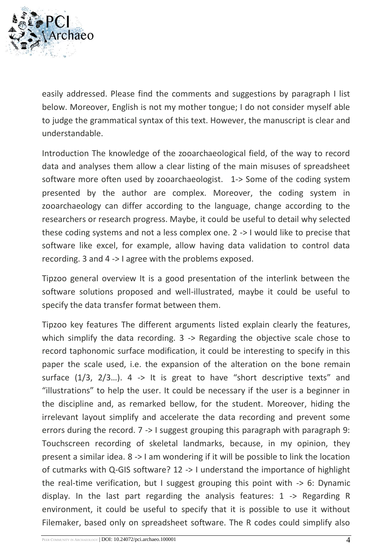

easily addressed. Please find the comments and suggestions by paragraph I list below. Moreover, English is not my mother tongue; I do not consider myself able to judge the grammatical syntax of this text. However, the manuscript is clear and understandable.

Introduction The knowledge of the zooarchaeological field, of the way to record data and analyses them allow a clear listing of the main misuses of spreadsheet software more often used by zooarchaeologist. 1-> Some of the coding system presented by the author are complex. Moreover, the coding system in zooarchaeology can differ according to the language, change according to the researchers or research progress. Maybe, it could be useful to detail why selected these coding systems and not a less complex one. 2 -> I would like to precise that software like excel, for example, allow having data validation to control data recording. 3 and 4 -> I agree with the problems exposed.

Tipzoo general overview It is a good presentation of the interlink between the software solutions proposed and well-illustrated, maybe it could be useful to specify the data transfer format between them.

Tipzoo key features The different arguments listed explain clearly the features, which simplify the data recording. 3 -> Regarding the objective scale chose to record taphonomic surface modification, it could be interesting to specify in this paper the scale used, i.e. the expansion of the alteration on the bone remain surface  $(1/3, 2/3...)$ . 4 -> It is great to have "short descriptive texts" and "illustrations" to help the user. It could be necessary if the user is a beginner in the discipline and, as remarked bellow, for the student. Moreover, hiding the irrelevant layout simplify and accelerate the data recording and prevent some errors during the record. 7 -> I suggest grouping this paragraph with paragraph 9: Touchscreen recording of skeletal landmarks, because, in my opinion, they present a similar idea. 8 -> I am wondering if it will be possible to link the location of cutmarks with Q-GIS software? 12 -> I understand the importance of highlight the real-time verification, but I suggest grouping this point with -> 6: Dynamic display. In the last part regarding the analysis features: 1 -> Regarding R environment, it could be useful to specify that it is possible to use it without Filemaker, based only on spreadsheet software. The R codes could simplify also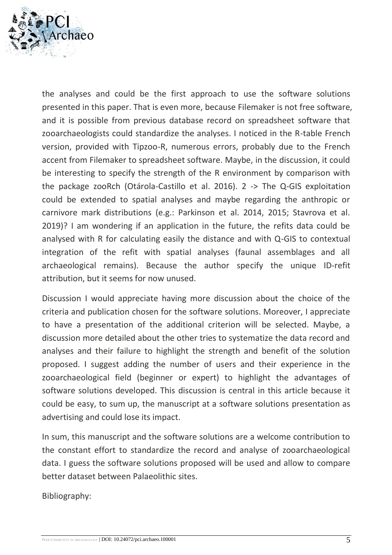

the analyses and could be the first approach to use the software solutions presented in this paper. That is even more, because Filemaker is not free software, and it is possible from previous database record on spreadsheet software that zooarchaeologists could standardize the analyses. I noticed in the R-table French version, provided with Tipzoo-R, numerous errors, probably due to the French accent from Filemaker to spreadsheet software. Maybe, in the discussion, it could be interesting to specify the strength of the R environment by comparison with the package zooRch (Otárola-Castillo et al. 2016). 2 -> The Q-GIS exploitation could be extended to spatial analyses and maybe regarding the anthropic or carnivore mark distributions (e.g.: Parkinson et al. 2014, 2015; Stavrova et al. 2019)? I am wondering if an application in the future, the refits data could be analysed with R for calculating easily the distance and with Q-GIS to contextual integration of the refit with spatial analyses (faunal assemblages and all archaeological remains). Because the author specify the unique ID-refit attribution, but it seems for now unused.

Discussion I would appreciate having more discussion about the choice of the criteria and publication chosen for the software solutions. Moreover, I appreciate to have a presentation of the additional criterion will be selected. Maybe, a discussion more detailed about the other tries to systematize the data record and analyses and their failure to highlight the strength and benefit of the solution proposed. I suggest adding the number of users and their experience in the zooarchaeological field (beginner or expert) to highlight the advantages of software solutions developed. This discussion is central in this article because it could be easy, to sum up, the manuscript at a software solutions presentation as advertising and could lose its impact.

In sum, this manuscript and the software solutions are a welcome contribution to the constant effort to standardize the record and analyse of zooarchaeological data. I guess the software solutions proposed will be used and allow to compare better dataset between Palaeolithic sites.

Bibliography: